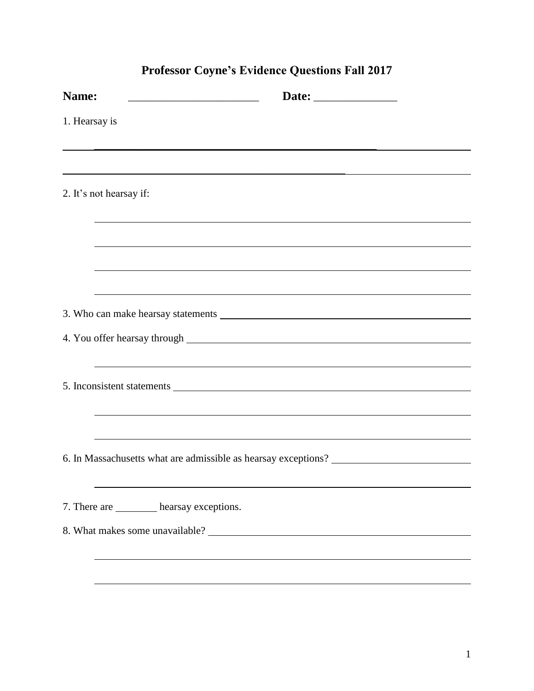|               | TTORSSOL COYIR 3 EVRCHCK QUESTIONS FAIL 2017                                                                                                |
|---------------|---------------------------------------------------------------------------------------------------------------------------------------------|
| Name:         | Date: ______________<br><u> 1989 - Johann Barn, mars eta bainar eta baina eta baina eta baina eta baina eta baina eta baina eta baina e</u> |
| 1. Hearsay is |                                                                                                                                             |
|               |                                                                                                                                             |
|               | 2. It's not hearsay if:                                                                                                                     |
|               | ,我们也不会有什么。""我们的人,我们也不会有什么?""我们的人,我们也不会有什么?""我们的人,我们也不会有什么?""我们的人,我们也不会有什么?""我们的人                                                            |
|               | ,我们也不会有什么。""我们的人,我们也不会有什么?""我们的人,我们也不会有什么?""我们的人,我们也不会有什么?""我们的人,我们也不会有什么?""我们的人                                                            |
|               | ,我们也不会有什么。""我们的人,我们也不会有什么?""我们的人,我们也不会有什么?""我们的人,我们也不会有什么?""我们的人,我们也不会有什么?""我们的人                                                            |
|               |                                                                                                                                             |
|               |                                                                                                                                             |
|               | ,我们也不会有什么。""我们的人,我们也不会有什么?""我们的人,我们也不会有什么?""我们的人,我们也不会有什么?""我们的人,我们也不会有什么?""我们的人                                                            |
|               |                                                                                                                                             |
|               |                                                                                                                                             |
|               | 6. In Massachusetts what are admissible as hearsay exceptions? __________________                                                           |
|               |                                                                                                                                             |
|               | 7. There are __________ hearsay exceptions.                                                                                                 |
|               |                                                                                                                                             |
|               |                                                                                                                                             |
|               |                                                                                                                                             |

## **Professor Coyne's Evidence Questions Fall 2017**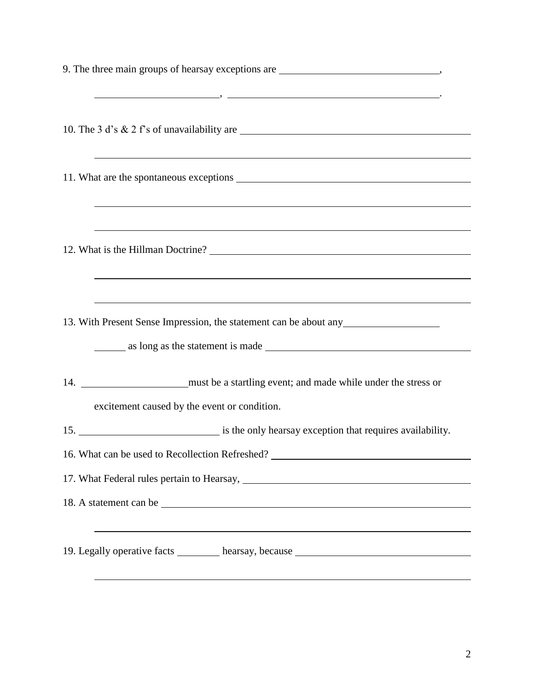| 9. The three main groups of hearsay exceptions are ______________________________                                                                                                                                             |
|-------------------------------------------------------------------------------------------------------------------------------------------------------------------------------------------------------------------------------|
| 10. The 3 d's & 2 f's of unavailability are                                                                                                                                                                                   |
| <u> 1989 - Johann Stoff, deutscher Stoffen und der Stoffen und der Stoffen und der Stoffen und der Stoffen und de</u>                                                                                                         |
|                                                                                                                                                                                                                               |
| ,我们也不会有什么。""我们的人,我们也不会有什么?""我们的人,我们也不会有什么?""我们的人,我们也不会有什么?""我们的人,我们也不会有什么?""我们的人                                                                                                                                              |
|                                                                                                                                                                                                                               |
| <u> 1989 - Jan Salaman Salaman (j. 1989)</u>                                                                                                                                                                                  |
| ,我们也不会有什么。""我们的人,我们也不会有什么?""我们的人,我们也不会有什么?""我们的人,我们也不会有什么?""我们的人,我们也不会有什么?""我们的人<br>13. With Present Sense Impression, the statement can be about any                                                                         |
| as long as the statement is made                                                                                                                                                                                              |
|                                                                                                                                                                                                                               |
| excitement caused by the event or condition.                                                                                                                                                                                  |
|                                                                                                                                                                                                                               |
| 16. What can be used to Recollection Refreshed? _________________________________                                                                                                                                             |
| 17. What Federal rules pertain to Hearsay, Manual Assembly Press, and a set of the set of the set of the set of the set of the set of the set of the set of the set of the set of the set of the set of the set of the set of |
| 18. A statement can be                                                                                                                                                                                                        |
| <u> 1989 - Johann Stoff, deutscher Stoffen und der Stoffen und der Stoffen und der Stoffen und der Stoffen und de</u>                                                                                                         |
| 19. Legally operative facts ________ hearsay, because __________________________                                                                                                                                              |
|                                                                                                                                                                                                                               |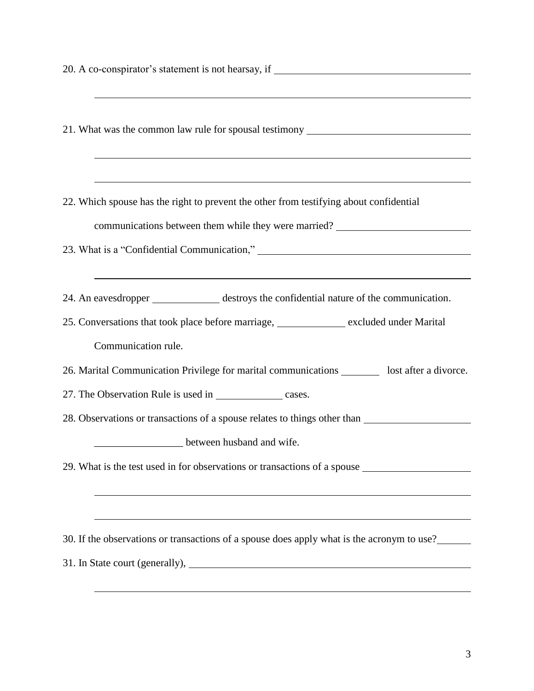| 20. A co-conspirator's statement is not hearsay, if ____________________________                                                                |  |  |
|-------------------------------------------------------------------------------------------------------------------------------------------------|--|--|
| ,我们也不会有什么。""我们的人,我们也不会有什么?""我们的人,我们也不会有什么?""我们的人,我们也不会有什么?""我们的人,我们也不会有什么?""我们的人                                                                |  |  |
| 21. What was the common law rule for spousal testimony _________________________                                                                |  |  |
|                                                                                                                                                 |  |  |
|                                                                                                                                                 |  |  |
| 22. Which spouse has the right to prevent the other from testifying about confidential                                                          |  |  |
| communications between them while they were married?                                                                                            |  |  |
|                                                                                                                                                 |  |  |
|                                                                                                                                                 |  |  |
| 24. An eavesdropper ______________ destroys the confidential nature of the communication.                                                       |  |  |
| 25. Conversations that took place before marriage, ____________ excluded under Marital                                                          |  |  |
| Communication rule.                                                                                                                             |  |  |
| 26. Marital Communication Privilege for marital communications _________ lost after a divorce.                                                  |  |  |
| 27. The Observation Rule is used in _____________________ cases.                                                                                |  |  |
| 28. Observations or transactions of a spouse relates to things other than                                                                       |  |  |
|                                                                                                                                                 |  |  |
| 29. What is the test used in for observations or transactions of a spouse                                                                       |  |  |
| ,我们也不能在这里的时候,我们也不能在这里的时候,我们也不能会不能会不能会不能会不能会不能会不能会不能会不能会不能会。<br>第2012章 我们的时候,我们的时候,我们的时候,我们的时候,我们的时候,我们的时候,我们的时候,我们的时候,我们的时候,我们的时候,我们的时候,我们的时候,我 |  |  |
|                                                                                                                                                 |  |  |
| 30. If the observations or transactions of a spouse does apply what is the acronym to use?                                                      |  |  |
|                                                                                                                                                 |  |  |
|                                                                                                                                                 |  |  |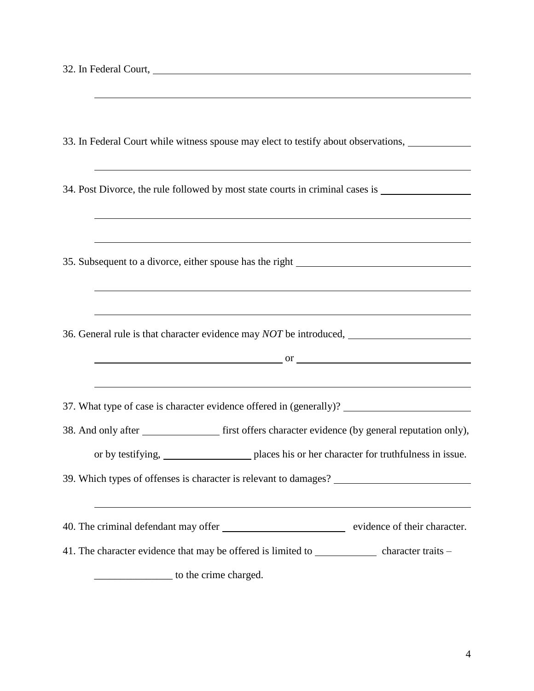| 33. In Federal Court while witness spouse may elect to testify about observations,                                                                                                                                                                                                                 |  |  |
|----------------------------------------------------------------------------------------------------------------------------------------------------------------------------------------------------------------------------------------------------------------------------------------------------|--|--|
| <u> 1989 - Johann Harry Harry Harry Harry Harry Harry Harry Harry Harry Harry Harry Harry Harry Harry Harry Harry</u>                                                                                                                                                                              |  |  |
| 34. Post Divorce, the rule followed by most state courts in criminal cases is ______________________                                                                                                                                                                                               |  |  |
| ,我们也不会有什么。""我们的人,我们也不会有什么?""我们的人,我们也不会有什么?""我们的人,我们的人,我们的人,我们的人,我们的人,我们的人,我们的人,我                                                                                                                                                                                                                   |  |  |
| <u> 1989 - Johann Stoff, amerikansk politiker (* 1908)</u>                                                                                                                                                                                                                                         |  |  |
| 35. Subsequent to a divorce, either spouse has the right ________________________                                                                                                                                                                                                                  |  |  |
|                                                                                                                                                                                                                                                                                                    |  |  |
|                                                                                                                                                                                                                                                                                                    |  |  |
| <u> 1989 - Johann Stoff, deutscher Stoffen und der Stoffen und der Stoffen und der Stoffen und der Stoffen und de</u>                                                                                                                                                                              |  |  |
|                                                                                                                                                                                                                                                                                                    |  |  |
| $\mathbf{r}$ or $\mathbf{r}$ and $\mathbf{r}$ and $\mathbf{r}$ or $\mathbf{r}$ and $\mathbf{r}$ and $\mathbf{r}$ and $\mathbf{r}$ and $\mathbf{r}$ and $\mathbf{r}$ and $\mathbf{r}$ and $\mathbf{r}$ and $\mathbf{r}$ and $\mathbf{r}$ and $\mathbf{r}$ and $\mathbf{r}$ and $\mathbf{r}$ and $\$ |  |  |
| <u> 1989 - Johann Stoff, deutscher Stoffen und der Stoffen und der Stoffen und der Stoffen und der Stoffen und de</u>                                                                                                                                                                              |  |  |
|                                                                                                                                                                                                                                                                                                    |  |  |
| 38. And only after __________________ first offers character evidence (by general reputation only),                                                                                                                                                                                                |  |  |
|                                                                                                                                                                                                                                                                                                    |  |  |
|                                                                                                                                                                                                                                                                                                    |  |  |
| ,我们也不会有什么。""我们的人,我们也不会有什么?""我们的人,我们也不会有什么?""我们的人,我们也不会有什么?""我们的人,我们也不会有什么?""我们的人                                                                                                                                                                                                                   |  |  |
|                                                                                                                                                                                                                                                                                                    |  |  |
| 41. The character evidence that may be offered is limited to character traits -                                                                                                                                                                                                                    |  |  |
| to the crime charged.                                                                                                                                                                                                                                                                              |  |  |

4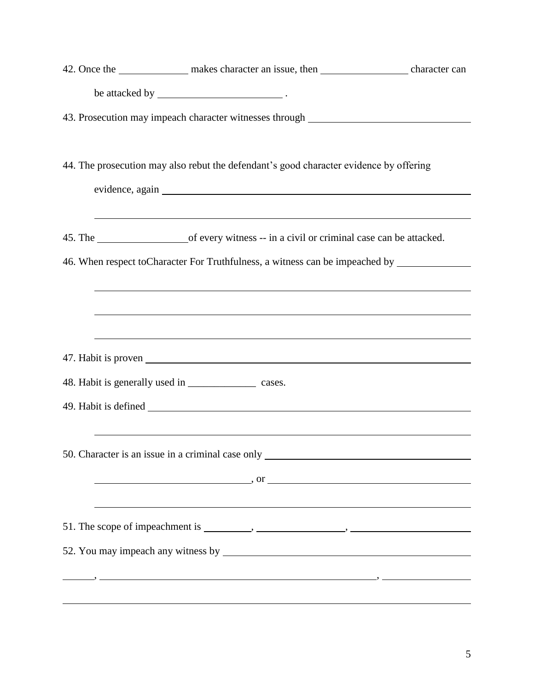|  | 42. Once the _______________ makes character an issue, then ____________________ character can       |  |
|--|------------------------------------------------------------------------------------------------------|--|
|  |                                                                                                      |  |
|  | 43. Prosecution may impeach character witnesses through ________________________                     |  |
|  |                                                                                                      |  |
|  | 44. The prosecution may also rebut the defendant's good character evidence by offering               |  |
|  |                                                                                                      |  |
|  | ,我们也不会有什么。""我们的人,我们也不会有什么?""我们的人,我们也不会有什么?""我们的人,我们也不会有什么?""我们的人,我们也不会有什么?""我们的人                     |  |
|  | 46. When respect to Character For Truthfulness, a witness can be impeached by ______________________ |  |
|  | ,我们也不会有什么。""我们的人,我们也不会有什么?""我们的人,我们也不会有什么?""我们的人,我们也不会有什么?""我们的人,我们也不会有什么?""我们的人                     |  |
|  |                                                                                                      |  |
|  | ,我们也不会有一个人的人,我们也不会有一个人的人,我们也不会有一个人的人。""我们,我们也不会有一个人的人,我们也不会有一个人的人,我们也不会有一个人的人,我们                     |  |
|  |                                                                                                      |  |
|  | 48. Habit is generally used in _____________________ cases.                                          |  |
|  |                                                                                                      |  |
|  |                                                                                                      |  |
|  | 50. Character is an issue in a criminal case only _______________________________                    |  |
|  | $\alpha$ , or $\alpha$                                                                               |  |
|  |                                                                                                      |  |
|  |                                                                                                      |  |
|  |                                                                                                      |  |
|  |                                                                                                      |  |
|  |                                                                                                      |  |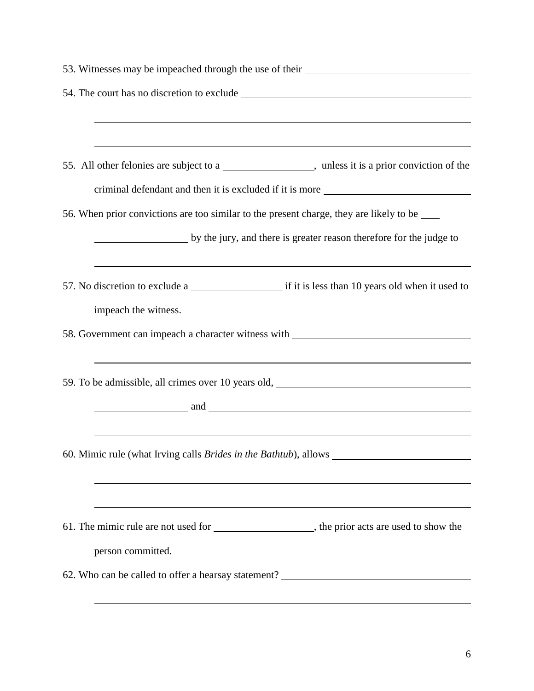| 53. Witnesses may be impeached through the use of their ________________________                                       |  |  |
|------------------------------------------------------------------------------------------------------------------------|--|--|
|                                                                                                                        |  |  |
|                                                                                                                        |  |  |
| <u> 1989 - Johann Stoff, deutscher Stoffen und der Stoffen und der Stoffen und der Stoffen und der Stoffen und der</u> |  |  |
| 55. All other felonies are subject to a _____________________, unless it is a prior conviction of the                  |  |  |
| criminal defendant and then it is excluded if it is more ________________________                                      |  |  |
| 56. When prior convictions are too similar to the present charge, they are likely to be _____                          |  |  |
| by the jury, and there is greater reason therefore for the judge to                                                    |  |  |
| ,我们也不会有什么。""我们的人,我们也不会有什么?""我们的人,我们也不会有什么?""我们的人,我们也不会有什么?""我们的人,我们也不会有什么?""我们的人                                       |  |  |
|                                                                                                                        |  |  |
| impeach the witness.                                                                                                   |  |  |
| 58. Government can impeach a character witness with ____________________________                                       |  |  |
| <u> 1989 - Jan Salaman Salaman (j. 1989)</u>                                                                           |  |  |
| 59. To be admissible, all crimes over 10 years old, _____________________________                                      |  |  |
| $\blacksquare$ and $\blacksquare$                                                                                      |  |  |
|                                                                                                                        |  |  |
| 60. Mimic rule (what Irving calls Brides in the Bathtub), allows ________                                              |  |  |
|                                                                                                                        |  |  |
| ,我们也不会有什么。""我们的人,我们也不会有什么?""我们的人,我们也不会有什么?""我们的人,我们也不会有什么?""我们的人,我们也不会有什么?""我们的人                                       |  |  |
| 61. The mimic rule are not used for ______________________, the prior acts are used to show the                        |  |  |
| person committed.                                                                                                      |  |  |
| 62. Who can be called to offer a hearsay statement? _____________________________                                      |  |  |